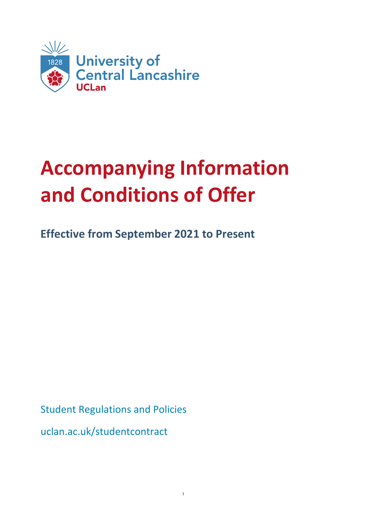

# **Accompanying Information and Conditions of Offer**

**Effective from September 2021 to Present**

Student Regulations and Policies

uclan.ac.uk/studentcontract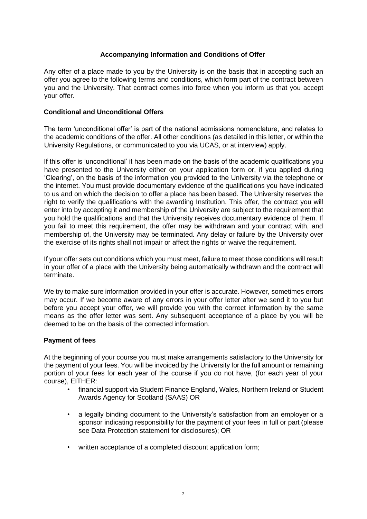## **Accompanying Information and Conditions of Offer**

Any offer of a place made to you by the University is on the basis that in accepting such an offer you agree to the following terms and conditions, which form part of the contract between you and the University. That contract comes into force when you inform us that you accept your offer.

## **Conditional and Unconditional Offers**

The term 'unconditional offer' is part of the national admissions nomenclature, and relates to the academic conditions of the offer. All other conditions (as detailed in this letter, or within the University Regulations, or communicated to you via UCAS, or at interview) apply.

If this offer is 'unconditional' it has been made on the basis of the academic qualifications you have presented to the University either on your application form or, if you applied during 'Clearing', on the basis of the information you provided to the University via the telephone or the internet. You must provide documentary evidence of the qualifications you have indicated to us and on which the decision to offer a place has been based. The University reserves the right to verify the qualifications with the awarding Institution. This offer, the contract you will enter into by accepting it and membership of the University are subject to the requirement that you hold the qualifications and that the University receives documentary evidence of them. If you fail to meet this requirement, the offer may be withdrawn and your contract with, and membership of, the University may be terminated. Any delay or failure by the University over the exercise of its rights shall not impair or affect the rights or waive the requirement.

If your offer sets out conditions which you must meet, failure to meet those conditions will result in your offer of a place with the University being automatically withdrawn and the contract will terminate.

We try to make sure information provided in your offer is accurate. However, sometimes errors may occur. If we become aware of any errors in your offer letter after we send it to you but before you accept your offer, we will provide you with the correct information by the same means as the offer letter was sent. Any subsequent acceptance of a place by you will be deemed to be on the basis of the corrected information.

#### **Payment of fees**

At the beginning of your course you must make arrangements satisfactory to the University for the payment of your fees. You will be invoiced by the University for the full amount or remaining portion of your fees for each year of the course if you do not have, (for each year of your course), EITHER:

- financial support via Student Finance England, Wales, Northern Ireland or Student Awards Agency for Scotland (SAAS) OR
- a legally binding document to the University's satisfaction from an employer or a sponsor indicating responsibility for the payment of your fees in full or part (please see Data Protection statement for disclosures); OR
- written acceptance of a completed discount application form;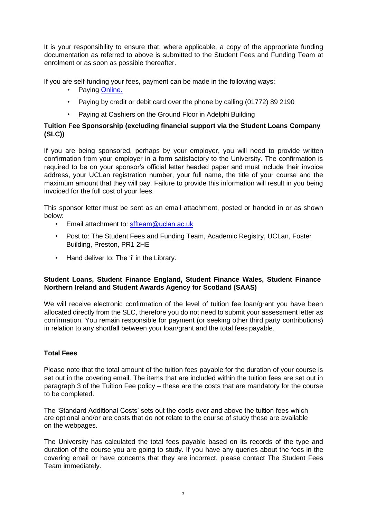It is your responsibility to ensure that, where applicable, a copy of the appropriate funding documentation as referred to above is submitted to the Student Fees and Funding Team at enrolment or as soon as possible thereafter.

If you are self-funding your fees, payment can be made in the following ways:

- Paying Online.
- Paying by credit or debit card over the phone by calling (01772) 89 2190
- Paying at Cashiers on the Ground Floor in Adelphi Building

#### **Tuition Fee Sponsorship (excluding financial support via the Student Loans Company (SLC))**

If you are being sponsored, perhaps by your employer, you will need to provide written confirmation from your employer in a form satisfactory to the University. The confirmation is required to be on your sponsor's official letter headed paper and must include their invoice address, your UCLan registration number, your full name, the title of your course and the maximum amount that they will pay. Failure to provide this information will result in you being invoiced for the full cost of your fees.

This sponsor letter must be sent as an email attachment, posted or handed in or as shown below:

- Email attachment to: [sffteam@uclan.ac.uk](mailto:sffteam@uclan.ac.uk)
- Post to: The Student Fees and Funding Team, Academic Registry, UCLan, Foster Building, Preston, PR1 2HE
- Hand deliver to: The 'i' in the Library.

#### **Student Loans, Student Finance England, Student Finance Wales, Student Finance Northern Ireland and Student Awards Agency for Scotland (SAAS)**

We will receive electronic confirmation of the level of tuition fee loan/grant you have been allocated directly from the SLC, therefore you do not need to submit your assessment letter as confirmation. You remain responsible for payment (or seeking other third party contributions) in relation to any shortfall between your loan/grant and the total fees payable.

# **Total Fees**

Please note that the total amount of the tuition fees payable for the duration of your course is set out in the covering email. The items that are included within the tuition fees are set out in paragraph 3 of the Tuition Fee policy – these are the costs that are mandatory for the course to be completed.

The 'Standard Additional Costs' sets out the costs over and above the tuition fees which are optional and/or are costs that do not relate to the course of study these are available on the webpages.

The University has calculated the total fees payable based on its records of the type and duration of the course you are going to study. If you have any queries about the fees in the covering email or have concerns that they are incorrect, please contact The Student Fees Team immediately.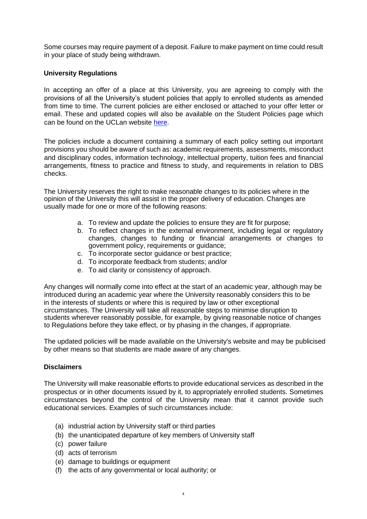Some courses may require payment of a deposit. Failure to make payment on time could result in your place of study being withdrawn.

## **University Regulations**

In accepting an offer of a place at this University, you are agreeing to comply with the provisions of all the University's student policies that apply to enrolled students as amended from time to time. The current policies are either enclosed or attached to your offer letter or email. These and updated copies will also be available on the Student Policies page which can be found on the UCLan website here.

The policies include a document containing a summary of each policy setting out important provisions you should be aware of such as: academic requirements, assessments, misconduct and disciplinary codes, information technology, intellectual property, tuition fees and financial arrangements, fitness to practice and fitness to study, and requirements in relation to DBS checks.

The University reserves the right to make reasonable changes to its policies where in the opinion of the University this will assist in the proper delivery of education. Changes are usually made for one or more of the following reasons:

- a. To review and update the policies to ensure they are fit for purpose;
- b. To reflect changes in the external environment, including legal or regulatory changes, changes to funding or financial arrangements or changes to government policy, requirements or guidance;
- c. To incorporate sector guidance or best practice;
- d. To incorporate feedback from students; and/or
- e. To aid clarity or consistency of approach.

Any changes will normally come into effect at the start of an academic year, although may be introduced during an academic year where the University reasonably considers this to be in the interests of students or where this is required by law or other exceptional circumstances. The University will take all reasonable steps to minimise disruption to students wherever reasonably possible, for example, by giving reasonable notice of changes to Regulations before they take effect, or by phasing in the changes, if appropriate.

The updated policies will be made available on the University's website and may be publicised by other means so that students are made aware of any changes.

# **Disclaimers**

The University will make reasonable efforts to provide educational services as described in the prospectus or in other documents issued by it, to appropriately enrolled students. Sometimes circumstances beyond the control of the University mean that it cannot provide such educational services. Examples of such circumstances include:

- (a) industrial action by University staff or third parties
- (b) the unanticipated departure of key members of University staff
- (c) power failure
- (d) acts of terrorism
- (e) damage to buildings or equipment
- (f) the acts of any governmental or local authority; or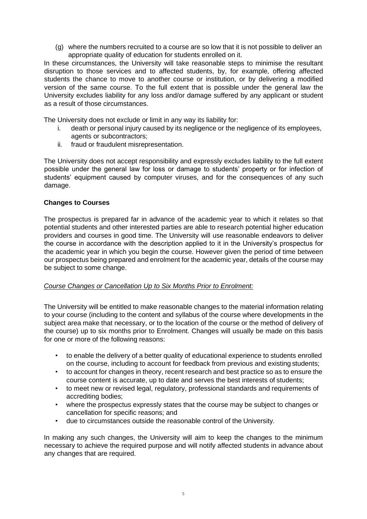(g) where the numbers recruited to a course are so low that it is not possible to deliver an appropriate quality of education for students enrolled on it.

In these circumstances, the University will take reasonable steps to minimise the resultant disruption to those services and to affected students, by, for example, offering affected students the chance to move to another course or institution, or by delivering a modified version of the same course. To the full extent that is possible under the general law the University excludes liability for any loss and/or damage suffered by any applicant or student as a result of those circumstances.

The University does not exclude or limit in any way its liability for:

- i. death or personal injury caused by its negligence or the negligence of its employees, agents or subcontractors;
- ii. fraud or fraudulent misrepresentation.

The University does not accept responsibility and expressly excludes liability to the full extent possible under the general law for loss or damage to students' property or for infection of students' equipment caused by computer viruses, and for the consequences of any such damage.

## **Changes to Courses**

The prospectus is prepared far in advance of the academic year to which it relates so that potential students and other interested parties are able to research potential higher education providers and courses in good time. The University will use reasonable endeavors to deliver the course in accordance with the description applied to it in the University's prospectus for the academic year in which you begin the course. However given the period of time between our prospectus being prepared and enrolment for the academic year, details of the course may be subject to some change.

#### *Course Changes or Cancellation Up to Six Months Prior to Enrolment:*

The University will be entitled to make reasonable changes to the material information relating to your course (including to the content and syllabus of the course where developments in the subject area make that necessary, or to the location of the course or the method of delivery of the course) up to six months prior to Enrolment. Changes will usually be made on this basis for one or more of the following reasons:

- to enable the delivery of a better quality of educational experience to students enrolled on the course, including to account for feedback from previous and existing students;
- to account for changes in theory, recent research and best practice so as to ensure the course content is accurate, up to date and serves the best interests of students;
- to meet new or revised legal, regulatory, professional standards and requirements of accrediting bodies;
- where the prospectus expressly states that the course may be subject to changes or cancellation for specific reasons; and
- due to circumstances outside the reasonable control of the University.

In making any such changes, the University will aim to keep the changes to the minimum necessary to achieve the required purpose and will notify affected students in advance about any changes that are required.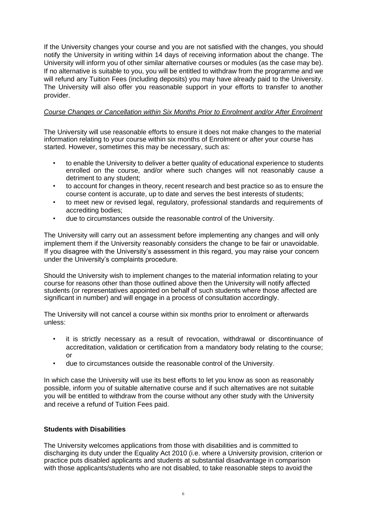If the University changes your course and you are not satisfied with the changes, you should notify the University in writing within 14 days of receiving information about the change. The University will inform you of other similar alternative courses or modules (as the case may be). If no alternative is suitable to you, you will be entitled to withdraw from the programme and we will refund any Tuition Fees (including deposits) you may have already paid to the University. The University will also offer you reasonable support in your efforts to transfer to another provider.

#### *Course Changes or Cancellation within Six Months Prior to Enrolment and/or After Enrolment*

The University will use reasonable efforts to ensure it does not make changes to the material information relating to your course within six months of Enrolment or after your course has started. However, sometimes this may be necessary, such as:

- to enable the University to deliver a better quality of educational experience to students enrolled on the course, and/or where such changes will not reasonably cause a detriment to any student;
- to account for changes in theory, recent research and best practice so as to ensure the course content is accurate, up to date and serves the best interests of students;
- to meet new or revised legal, regulatory, professional standards and requirements of accrediting bodies;
- due to circumstances outside the reasonable control of the University.

The University will carry out an assessment before implementing any changes and will only implement them if the University reasonably considers the change to be fair or unavoidable. If you disagree with the University's assessment in this regard, you may raise your concern under the University's complaints procedure.

Should the University wish to implement changes to the material information relating to your course for reasons other than those outlined above then the University will notify affected students (or representatives appointed on behalf of such students where those affected are significant in number) and will engage in a process of consultation accordingly.

The University will not cancel a course within six months prior to enrolment or afterwards unless:

- it is strictly necessary as a result of revocation, withdrawal or discontinuance of accreditation, validation or certification from a mandatory body relating to the course; or
- due to circumstances outside the reasonable control of the University.

In which case the University will use its best efforts to let you know as soon as reasonably possible, inform you of suitable alternative course and if such alternatives are not suitable you will be entitled to withdraw from the course without any other study with the University and receive a refund of Tuition Fees paid.

#### **Students with Disabilities**

The University welcomes applications from those with disabilities and is committed to discharging its duty under the Equality Act 2010 (i.e. where a University provision, criterion or practice puts disabled applicants and students at substantial disadvantage in comparison with those applicants/students who are not disabled, to take reasonable steps to avoid the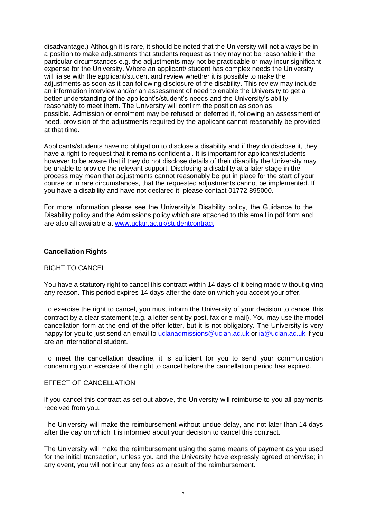disadvantage.) Although it is rare, it should be noted that the University will not always be in a position to make adjustments that students request as they may not be reasonable in the particular circumstances e.g. the adjustments may not be practicable or may incur significant expense for the University. Where an applicant/ student has complex needs the University will liaise with the applicant/student and review whether it is possible to make the adjustments as soon as it can following disclosure of the disability. This review may include an information interview and/or an assessment of need to enable the University to get a better understanding of the applicant's/student's needs and the University's ability reasonably to meet them. The University will confirm the position as soon as possible. Admission or enrolment may be refused or deferred if, following an assessment of need, provision of the adjustments required by the applicant cannot reasonably be provided at that time.

Applicants/students have no obligation to disclose a disability and if they do disclose it, they have a right to request that it remains confidential. It is important for applicants/students however to be aware that if they do not disclose details of their disability the University may be unable to provide the relevant support. Disclosing a disability at a later stage in the process may mean that adjustments cannot reasonably be put in place for the start of your course or in rare circumstances, that the requested adjustments cannot be implemented. If you have a disability and have not declared it, please contact 01772 895000.

For more information please see the University's Disability policy, the Guidance to the Disability policy and the Admissions policy which are attached to this email in pdf form and are also all available [at](http://www.uclan.ac.uk/studentcontract) [www.uclan.ac.uk/studentcontract](http://www.uclan.ac.uk/studentcontract)

#### **Cancellation Rights**

#### RIGHT TO CANCEL

You have a statutory right to cancel this contract within 14 days of it being made without giving any reason. This period expires 14 days after the date on which you accept your offer.

To exercise the right to cancel, you must inform the University of your decision to cancel this contract by a clear statement (e.g. a letter sent by post, fax or e-mail). You may use the model cancellation form at the end of the offer letter, but it is not obligatory. The University is very happy for you to just send an email to [uclanadmissions@uclan.ac.uk](mailto:uclanadmissions@uclan.ac.ukor) or [ia@uclan.ac.uk](mailto:ia@uclan.ac.ukif) if you are an international student.

To meet the cancellation deadline, it is sufficient for you to send your communication concerning your exercise of the right to cancel before the cancellation period has expired.

#### EFFECT OF CANCELLATION

If you cancel this contract as set out above, the University will reimburse to you all payments received from you.

The University will make the reimbursement without undue delay, and not later than 14 days after the day on which it is informed about your decision to cancel this contract.

The University will make the reimbursement using the same means of payment as you used for the initial transaction, unless you and the University have expressly agreed otherwise; in any event, you will not incur any fees as a result of the reimbursement.